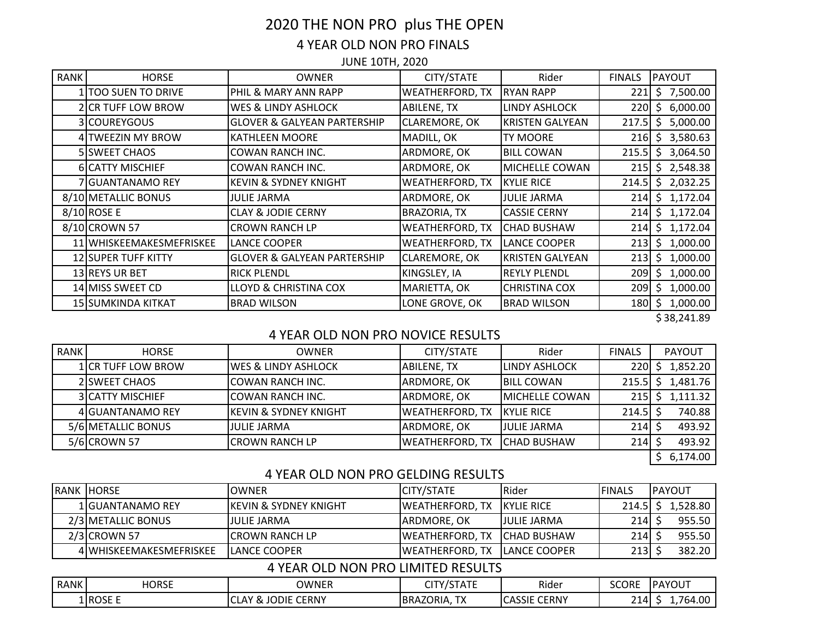# 2020 THE NON PRO plus THE OPEN 4 YEAR OLD NON PRO FINALS

JUNE 10TH, 2020

| <b>RANK</b> | <b>HORSE</b>               | <b>OWNER</b>                           | CITY/STATE             | Rider                  | <b>FINALS</b> | <b>PAYOUT</b>  |
|-------------|----------------------------|----------------------------------------|------------------------|------------------------|---------------|----------------|
|             | 1 TOO SUEN TO DRIVE        | PHIL & MARY ANN RAPP                   | <b>WEATHERFORD, TX</b> | <b>RYAN RAPP</b>       | 221           | \$7,500.00     |
|             | 2 CR TUFF LOW BROW         | WES & LINDY ASHLOCK                    | ABILENE, TX            | LINDY ASHLOCK          | 220           | 6,000.00<br>\$ |
|             | 3 COUREYGOUS               | <b>GLOVER &amp; GALYEAN PARTERSHIP</b> | <b>CLAREMORE, OK</b>   | <b>KRISTEN GALYEAN</b> | 217.5         | 5,000.00<br>Ŝ. |
|             | 4 TWEEZIN MY BROW          | <b>KATHLEEN MOORE</b>                  | MADILL, OK             | TY MOORE               | 216           | 3,580.63<br>S. |
|             | 5 SWEET CHAOS              | COWAN RANCH INC.                       | ARDMORE, OK            | <b>BILL COWAN</b>      | 215.5         | 3,064.50<br>S. |
|             | 6 CATTY MISCHIEF           | COWAN RANCH INC.                       | ARDMORE, OK            | MICHELLE COWAN         | 215           | \$2,548.38     |
|             | 7 GUANTANAMO REY           | <b>KEVIN &amp; SYDNEY KNIGHT</b>       | <b>WEATHERFORD, TX</b> | <b>KYLIE RICE</b>      | 214.5         | \$2,032.25     |
|             | 8/10 METALLIC BONUS        | <b>JULIE JARMA</b>                     | ARDMORE, OK            | <b>JULIE JARMA</b>     | 214           | \$1,172.04     |
|             | $8/10$ ROSE E              | <b>CLAY &amp; JODIE CERNY</b>          | <b>BRAZORIA, TX</b>    | <b>CASSIE CERNY</b>    | 214           | \$1,172.04     |
|             | 8/10 CROWN 57              | <b>CROWN RANCH LP</b>                  | <b>WEATHERFORD, TX</b> | <b>CHAD BUSHAW</b>     | 214           | \$1,172.04     |
|             | 11 WHISKEEMAKESMEFRISKEE   | LANCE COOPER                           | <b>WEATHERFORD, TX</b> | LANCE COOPER           | 213           | 1,000.00<br>S. |
|             | <b>12 SUPER TUFF KITTY</b> | <b>GLOVER &amp; GALYEAN PARTERSHIP</b> | <b>CLAREMORE, OK</b>   | <b>KRISTEN GALYEAN</b> | 213           | \$1,000.00     |
|             | 13 REYS UR BET             | <b>RICK PLENDL</b>                     | KINGSLEY, IA           | <b>REYLY PLENDL</b>    | 209           | 1,000.00<br>Ś  |
|             | 14 MISS SWEET CD           | <b>LLOYD &amp; CHRISTINA COX</b>       | MARIETTA, OK           | <b>CHRISTINA COX</b>   | 209           | 1,000.00<br>S. |
|             | 15 SUMKINDA KITKAT         | <b>BRAD WILSON</b>                     | LONE GROVE, OK         | <b>BRAD WILSON</b>     | 180           | 1,000.00<br>S  |
|             |                            |                                        |                        |                        |               | \$38,241.89    |

## 4 YEAR OLD NON PRO NOVICE RESULTS

| <b>RANK</b> | <b>HORSE</b>            | <b>OWNER</b>                      | CITY/STATE             | Rider                  | <b>FINALS</b> |   | <b>PAYOUT</b>       |
|-------------|-------------------------|-----------------------------------|------------------------|------------------------|---------------|---|---------------------|
|             | 1 CR TUFF LOW BROW      | <b>IWES &amp; LINDY ASHLOCK</b>   | <b>ABILENE, TX</b>     | <b>LINDY ASHLOCK</b>   | 220I          | S | 1,852.20            |
|             | 2 SWEET CHAOS           | COWAN RANCH INC.                  | ARDMORE, OK            | <b>BILL COWAN</b>      |               |   | $215.5$ \$ 1,481.76 |
|             | <b>3 CATTY MISCHIEF</b> | COWAN RANCH INC.                  | ARDMORE, OK            | <b>IMICHELLE COWAN</b> | 215 <b>1</b>  |   | 1,111.32            |
|             | 4 GUANTANAMO REY        | <b>IKEVIN &amp; SYDNEY KNIGHT</b> | <b>WEATHERFORD, TX</b> | <b>IKYLIE RICE</b>     | $214.5$ \$    |   | 740.88              |
|             | 5/6 METALLIC BONUS      | <b>JULIE JARMA</b>                | ARDMORE, OK            | <b>JULIE JARMA</b>     | 214           |   | 493.92              |
|             | 5/6 CROWN 57            | <b>CROWN RANCH LP</b>             | <b>WEATHERFORD, TX</b> | <b>CHAD BUSHAW</b>     | 214           |   | 493.92              |
|             |                         |                                   |                        |                        |               |   | 6,174.00            |

## 4 YEAR OLD NON PRO GELDING RESULTS

| <b>RANK HORSE</b>       | <b>IOWNER</b>                     | <b>CITY/STATE</b>      | Rider                | <b>FINALS</b> | <b>IPAYOUT</b> |
|-------------------------|-----------------------------------|------------------------|----------------------|---------------|----------------|
| 1 IGUANTANAMO REY       | <b>IKEVIN &amp; SYDNEY KNIGHT</b> | <b>WEATHERFORD, TX</b> | IKYLIE RICE          | 214.5         | 1,528.80       |
| 2/3 METALLIC BONUS      | <b>JULIE JARMA</b>                | IARDMORE. OK           | <b>JULIE JARMA</b>   | 214           | 955.50         |
| 2/3 CROWN 57            | ICROWN RANCH LP                   | IWEATHERFORD. TX       | <b>ICHAD BUSHAW</b>  | 2141          | 955.50         |
| 4 WHISKEEMAKESMEFRISKEE | ILANCE COOPER                     | IWEATHERFORD. TX       | <b>ILANCE COOPER</b> | 213 I         | 382.20         |

## 4 YEAR OLD NON PRO LIMITED RESULTS

| RANK | <b>HORSE</b>  | OWNER                                                   | $\mu$ ov / $\sigma$ $\tau$ $\tau$ $\tau$ $\tau$<br>---<br>, JIAIL | Rider                    | <b>SCORE</b>      | <b>IPAYOUT</b> |
|------|---------------|---------------------------------------------------------|-------------------------------------------------------------------|--------------------------|-------------------|----------------|
|      | <b>ROSE E</b> | <b>CERNY</b><br><b>JODIE</b><br>$\sim$<br>ΛV.<br>$\sim$ | T <sub>1</sub><br>BRAZORIA,<br>$\overline{1\wedge}$               | <b>ASSIE CERNY</b><br>LА | ำง<br>$\angle$ 14 | ,764.00        |